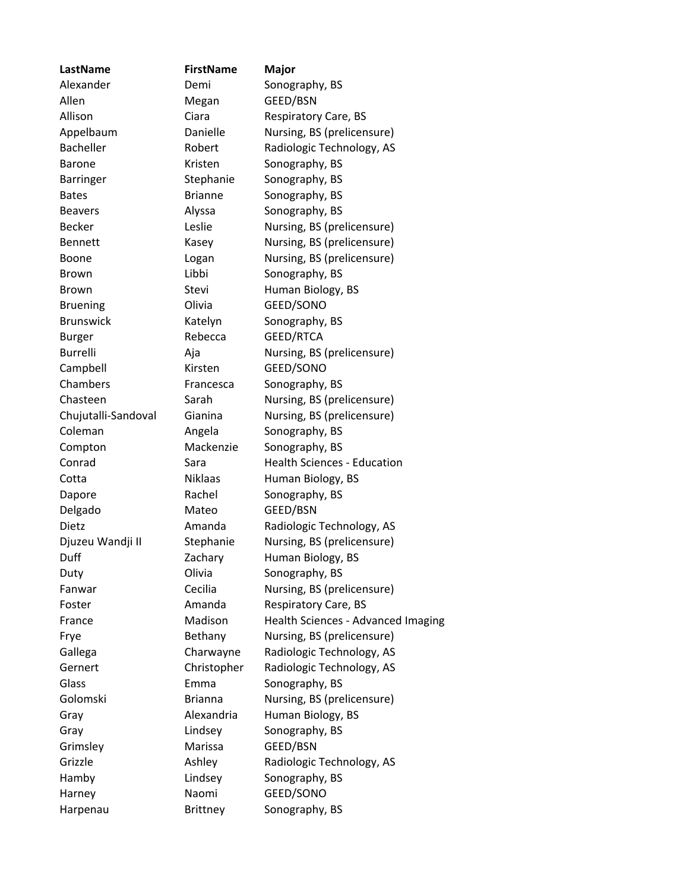| LastName            | <b>FirstName</b> | Major                              |
|---------------------|------------------|------------------------------------|
| Alexander           | Demi             | Sonography, BS                     |
| Allen               | Megan            | GEED/BSN                           |
| Allison             | Ciara            | <b>Respiratory Care, BS</b>        |
| Appelbaum           | Danielle         | Nursing, BS (prelicensure)         |
| Bacheller           | Robert           | Radiologic Technology, AS          |
| <b>Barone</b>       | Kristen          | Sonography, BS                     |
| <b>Barringer</b>    | Stephanie        | Sonography, BS                     |
| <b>Bates</b>        | <b>Brianne</b>   | Sonography, BS                     |
| <b>Beavers</b>      | Alyssa           | Sonography, BS                     |
| <b>Becker</b>       | Leslie           | Nursing, BS (prelicensure)         |
| <b>Bennett</b>      | Kasey            | Nursing, BS (prelicensure)         |
| <b>Boone</b>        | Logan            | Nursing, BS (prelicensure)         |
| <b>Brown</b>        | Libbi            | Sonography, BS                     |
| <b>Brown</b>        | Stevi            | Human Biology, BS                  |
| <b>Bruening</b>     | Olivia           | GEED/SONO                          |
| <b>Brunswick</b>    | Katelyn          | Sonography, BS                     |
| <b>Burger</b>       | Rebecca          | GEED/RTCA                          |
| <b>Burrelli</b>     |                  | Nursing, BS (prelicensure)         |
|                     | Aja<br>Kirsten   | GEED/SONO                          |
| Campbell            |                  |                                    |
| Chambers            | Francesca        | Sonography, BS                     |
| Chasteen            | Sarah            | Nursing, BS (prelicensure)         |
| Chujutalli-Sandoval | Gianina          | Nursing, BS (prelicensure)         |
| Coleman             | Angela           | Sonography, BS                     |
| Compton             | Mackenzie        | Sonography, BS                     |
| Conrad              | Sara             | <b>Health Sciences - Education</b> |
| Cotta               | <b>Niklaas</b>   | Human Biology, BS                  |
| Dapore              | Rachel           | Sonography, BS                     |
| Delgado             | Mateo            | GEED/BSN                           |
| Dietz               | Amanda           | Radiologic Technology, AS          |
| Djuzeu Wandji II    | Stephanie        | Nursing, BS (prelicensure)         |
| Duff                | Zachary          | Human Biology, BS                  |
| Duty                | Olivia           | Sonography, BS                     |
| Fanwar              | Cecilia          | Nursing, BS (prelicensure)         |
| Foster              | Amanda           | <b>Respiratory Care, BS</b>        |
| France              | Madison          | Health Sciences - Advanced Imaging |
| Frye                | Bethany          | Nursing, BS (prelicensure)         |
| Gallega             | Charwayne        | Radiologic Technology, AS          |
| Gernert             | Christopher      | Radiologic Technology, AS          |
| Glass               | Emma             | Sonography, BS                     |
| Golomski            | <b>Brianna</b>   | Nursing, BS (prelicensure)         |
| Gray                | Alexandria       | Human Biology, BS                  |
| Gray                | Lindsey          | Sonography, BS                     |
| Grimsley            | Marissa          | GEED/BSN                           |
| Grizzle             | Ashley           | Radiologic Technology, AS          |
| Hamby               | Lindsey          | Sonography, BS                     |
| Harney              | Naomi            | GEED/SONO                          |
| Harpenau            | Brittney         | Sonography, BS                     |
|                     |                  |                                    |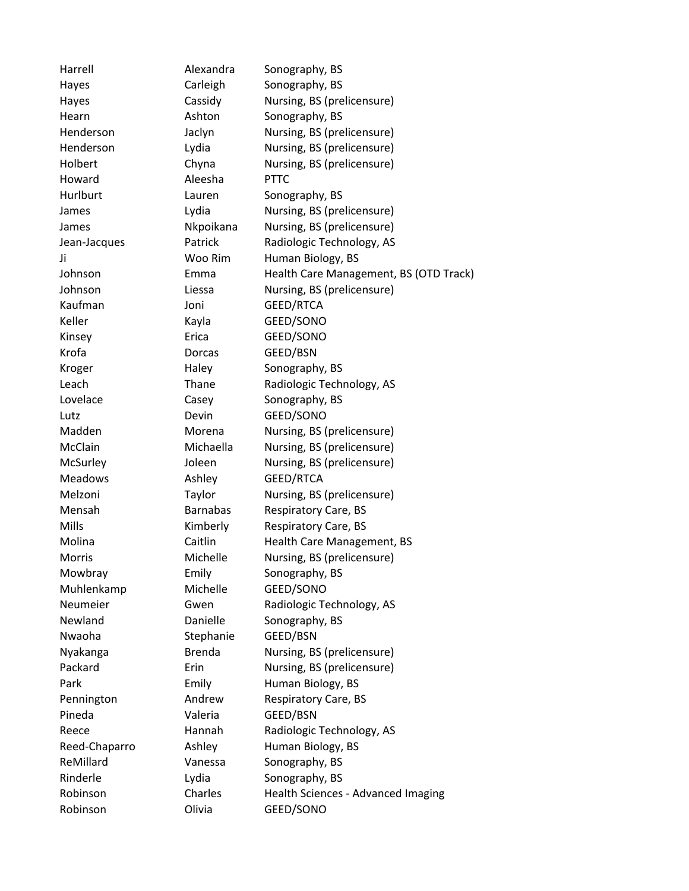Harrell **Alexandra** Sonography, BS Hayes Carleigh Sonography, BS Hayes Cassidy Nursing, BS (prelicensure) Hearn Ashton Sonography, BS Henderson Jaclyn Nursing, BS (prelicensure) Henderson Lydia Nursing, BS (prelicensure) Holbert Chyna Nursing, BS (prelicensure) Howard Aleesha PTTC Hurlburt Lauren Sonography, BS James Lydia Nursing, BS (prelicensure) James Nkpoikana Nursing, BS (prelicensure) Jean-Jacques Patrick Radiologic Technology, AS Ji Woo Rim Human Biology, BS Johnson Emma Health Care Management, BS (OTD Track) Johnson Liessa Nursing, BS (prelicensure) Kaufman Joni GEED/RTCA Keller Kayla GEED/SONO Kinsey **Erica** GEED/SONO Krofa **Dorcas** GEED/BSN Kroger **Haley** Sonography, BS Leach Thane Radiologic Technology, AS Lovelace Casey Sonography, BS Lutz Devin GEED/SONO Madden Morena Nursing, BS (prelicensure) McClain Michaella Nursing, BS (prelicensure) McSurley **Ioleen** Nursing, BS (prelicensure) Meadows Ashley GEED/RTCA Melzoni Taylor Nursing, BS (prelicensure) Mensah Barnabas Respiratory Care, BS Mills **Kimberly** Respiratory Care, BS Molina Caitlin Health Care Management, BS Morris Michelle Nursing, BS (prelicensure) Mowbray **Emily** Sonography, BS Muhlenkamp Michelle GEED/SONO Neumeier Gwen Radiologic Technology, AS Newland Danielle Sonography, BS Nwaoha Stephanie GEED/BSN Nyakanga Brenda Nursing, BS (prelicensure) Packard **Erin** Erin Nursing, BS (prelicensure) Park **Emily** Emily Human Biology, BS Pennington **Andrew** Respiratory Care, BS Pineda Valeria GEED/BSN Reece Hannah Radiologic Technology, AS Reed-Chaparro Ashley Human Biology, BS ReMillard **Vanessa** Sonography, BS Rinderle **Lydia** Lydia Sonography, BS Robinson Charles Health Sciences - Advanced Imaging Robinson **Olivia** GEED/SONO